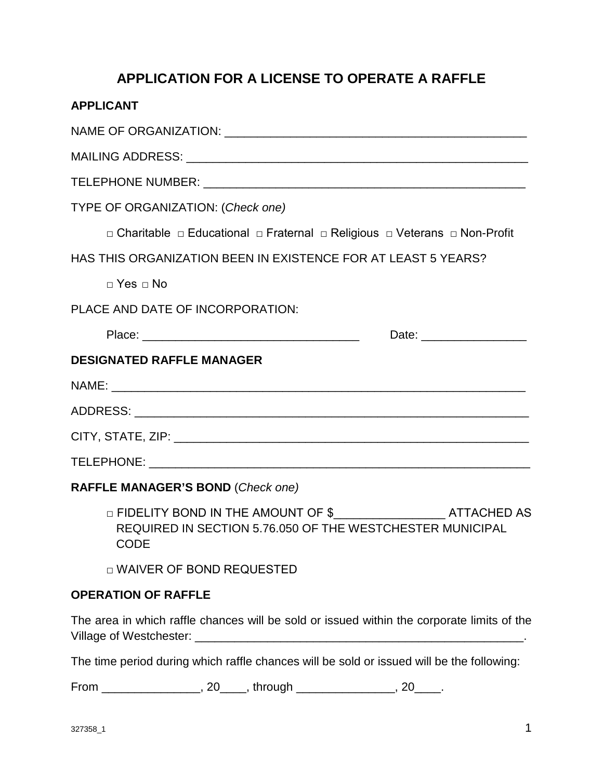# **APPLICATION FOR A LICENSE TO OPERATE A RAFFLE**

| <b>APPLICANT</b>                                                                                                                                       |  |  |
|--------------------------------------------------------------------------------------------------------------------------------------------------------|--|--|
|                                                                                                                                                        |  |  |
|                                                                                                                                                        |  |  |
|                                                                                                                                                        |  |  |
| TYPE OF ORGANIZATION: (Check one)                                                                                                                      |  |  |
| □ Charitable □ Educational □ Fraternal □ Religious □ Veterans □ Non-Profit                                                                             |  |  |
| HAS THIS ORGANIZATION BEEN IN EXISTENCE FOR AT LEAST 5 YEARS?                                                                                          |  |  |
| $\Box$ Yes $\Box$ No                                                                                                                                   |  |  |
| PLACE AND DATE OF INCORPORATION:                                                                                                                       |  |  |
| Date: __________________                                                                                                                               |  |  |
| <b>DESIGNATED RAFFLE MANAGER</b>                                                                                                                       |  |  |
|                                                                                                                                                        |  |  |
|                                                                                                                                                        |  |  |
|                                                                                                                                                        |  |  |
|                                                                                                                                                        |  |  |
| <b>RAFFLE MANAGER'S BOND (Check one)</b>                                                                                                               |  |  |
| □ FIDELITY BOND IN THE AMOUNT OF \$____________________________ATTACHED AS<br>REQUIRED IN SECTION 5.76.050 OF THE WESTCHESTER MUNICIPAL<br><b>CODE</b> |  |  |

□ WAIVER OF BOND REQUESTED

#### **OPERATION OF RAFFLE**

The area in which raffle chances will be sold or issued within the corporate limits of the Village of Westchester: \_\_\_\_\_\_\_\_\_\_\_\_\_\_\_\_\_\_\_\_\_\_\_\_\_\_\_\_\_\_\_\_\_\_\_\_\_\_\_\_\_\_\_\_\_\_\_\_\_\_.

The time period during which raffle chances will be sold or issued will be the following:

From \_\_\_\_\_\_\_\_\_\_\_\_\_\_\_\_, 20\_\_\_\_\_, through \_\_\_\_\_\_\_\_\_\_\_\_\_\_\_\_, 20\_\_\_\_\_.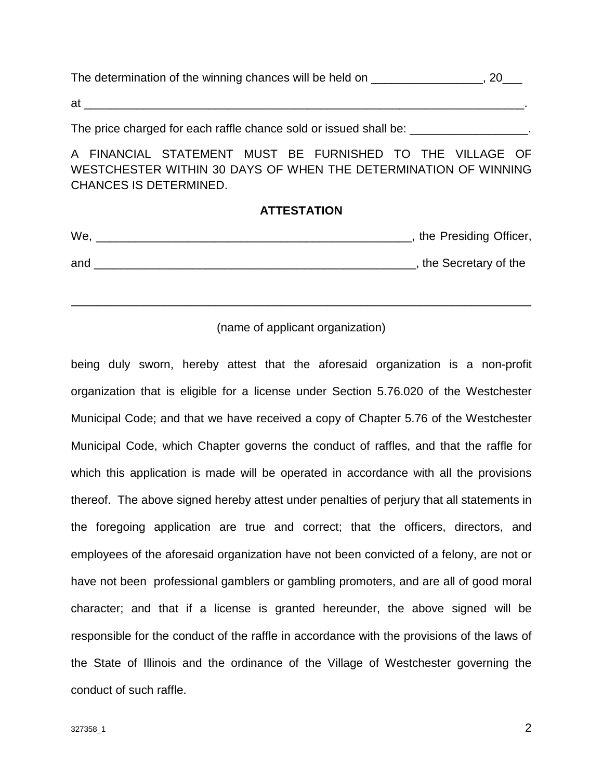The determination of the winning chances will be held on  $\sim$  . 20

 $at$ 

The price charged for each raffle chance sold or issued shall be:  $\qquad \qquad$ 

A FINANCIAL STATEMENT MUST BE FURNISHED TO THE VILLAGE OF WESTCHESTER WITHIN 30 DAYS OF WHEN THE DETERMINATION OF WINNING CHANCES IS DETERMINED.

#### **ATTESTATION**

| We. | the Presiding Officer, |
|-----|------------------------|
| and | the Secretary of the   |

#### (name of applicant organization)

\_\_\_\_\_\_\_\_\_\_\_\_\_\_\_\_\_\_\_\_\_\_\_\_\_\_\_\_\_\_\_\_\_\_\_\_\_\_\_\_\_\_\_\_\_\_\_\_\_\_\_\_\_\_\_\_\_\_\_\_\_\_\_\_\_\_\_\_\_\_

being duly sworn, hereby attest that the aforesaid organization is a non-profit organization that is eligible for a license under Section 5.76.020 of the Westchester Municipal Code; and that we have received a copy of Chapter 5.76 of the Westchester Municipal Code, which Chapter governs the conduct of raffles, and that the raffle for which this application is made will be operated in accordance with all the provisions thereof. The above signed hereby attest under penalties of perjury that all statements in the foregoing application are true and correct; that the officers, directors, and employees of the aforesaid organization have not been convicted of a felony, are not or have not been professional gamblers or gambling promoters, and are all of good moral character; and that if a license is granted hereunder, the above signed will be responsible for the conduct of the raffle in accordance with the provisions of the laws of the State of Illinois and the ordinance of the Village of Westchester governing the conduct of such raffle.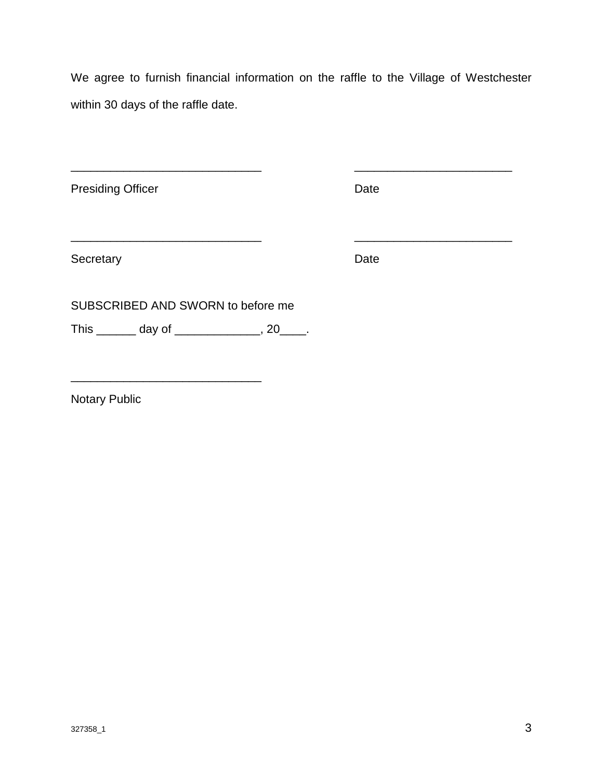We agree to furnish financial information on the raffle to the Village of Westchester within 30 days of the raffle date.

\_\_\_\_\_\_\_\_\_\_\_\_\_\_\_\_\_\_\_\_\_\_\_\_\_\_\_\_\_ \_\_\_\_\_\_\_\_\_\_\_\_\_\_\_\_\_\_\_\_\_\_\_\_

Presiding Officer **Date** 

Secretary Date **Date** 

SUBSCRIBED AND SWORN to before me

\_\_\_\_\_\_\_\_\_\_\_\_\_\_\_\_\_\_\_\_\_\_\_\_\_\_\_\_\_

\_\_\_\_\_\_\_\_\_\_\_\_\_\_\_\_\_\_\_\_\_\_\_\_\_\_\_\_\_ \_\_\_\_\_\_\_\_\_\_\_\_\_\_\_\_\_\_\_\_\_\_\_\_

This \_\_\_\_\_\_\_\_ day of \_\_\_\_\_\_\_\_\_\_\_\_\_\_, 20\_\_\_\_.

Notary Public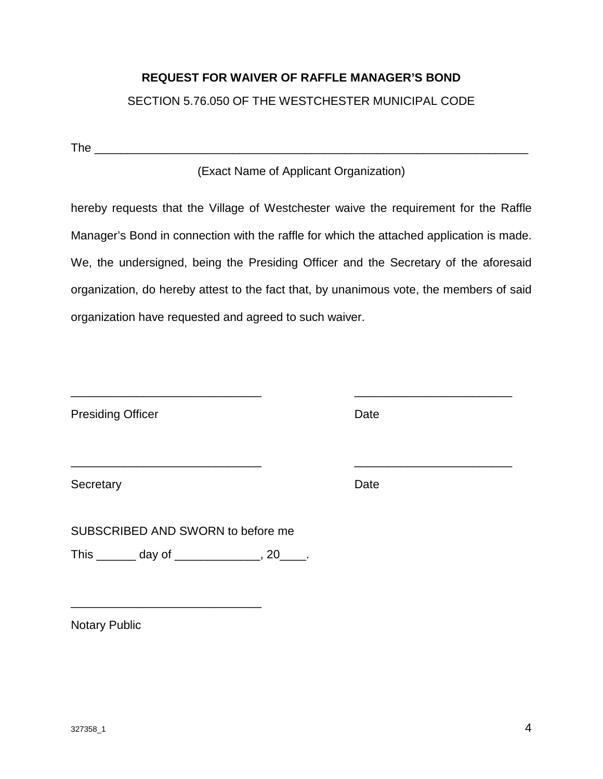### **REQUEST FOR WAIVER OF RAFFLE MANAGER'S BOND**

### SECTION 5.76.050 OF THE WESTCHESTER MUNICIPAL CODE

The \_\_\_\_\_\_\_\_\_\_\_\_\_\_\_\_\_\_\_\_\_\_\_\_\_\_\_\_\_\_\_\_\_\_\_\_\_\_\_\_\_\_\_\_\_\_\_\_\_\_\_\_\_\_\_\_\_\_\_\_\_\_\_\_\_\_

### (Exact Name of Applicant Organization)

hereby requests that the Village of Westchester waive the requirement for the Raffle Manager's Bond in connection with the raffle for which the attached application is made. We, the undersigned, being the Presiding Officer and the Secretary of the aforesaid organization, do hereby attest to the fact that, by unanimous vote, the members of said organization have requested and agreed to such waiver.

\_\_\_\_\_\_\_\_\_\_\_\_\_\_\_\_\_\_\_\_\_\_\_\_\_\_\_\_\_ \_\_\_\_\_\_\_\_\_\_\_\_\_\_\_\_\_\_\_\_\_\_\_\_

\_\_\_\_\_\_\_\_\_\_\_\_\_\_\_\_\_\_\_\_\_\_\_\_\_\_\_\_\_ \_\_\_\_\_\_\_\_\_\_\_\_\_\_\_\_\_\_\_\_\_\_\_\_

Presiding Officer **Date** 

Secretary Date **Date** 

SUBSCRIBED AND SWORN to before me

This \_\_\_\_\_\_ day of \_\_\_\_\_\_\_\_\_\_\_\_, 20\_\_\_\_.

\_\_\_\_\_\_\_\_\_\_\_\_\_\_\_\_\_\_\_\_\_\_\_\_\_\_\_\_\_

Notary Public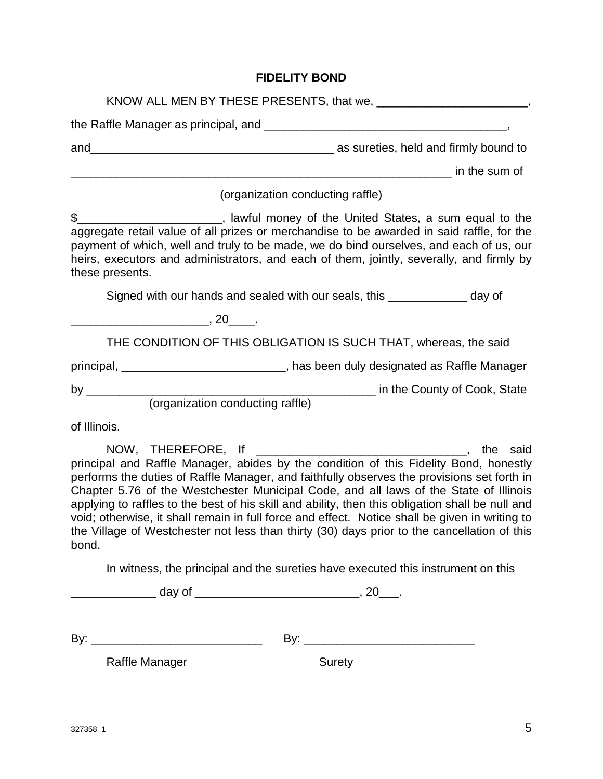## **FIDELITY BOND**

| as sureties, held and firmly bound to an example to a sureties, held and firmly bound to<br>and                                                                                                                                                                                                                                                                                                                                                                                                                                                                                            |               |
|--------------------------------------------------------------------------------------------------------------------------------------------------------------------------------------------------------------------------------------------------------------------------------------------------------------------------------------------------------------------------------------------------------------------------------------------------------------------------------------------------------------------------------------------------------------------------------------------|---------------|
|                                                                                                                                                                                                                                                                                                                                                                                                                                                                                                                                                                                            | in the sum of |
| (organization conducting raffle)                                                                                                                                                                                                                                                                                                                                                                                                                                                                                                                                                           |               |
| \$___________________________, lawful money of the United States, a sum equal to the<br>aggregate retail value of all prizes or merchandise to be awarded in said raffle, for the<br>payment of which, well and truly to be made, we do bind ourselves, and each of us, our<br>heirs, executors and administrators, and each of them, jointly, severally, and firmly by<br>these presents.                                                                                                                                                                                                 |               |
| Signed with our hands and sealed with our seals, this _____________ day of                                                                                                                                                                                                                                                                                                                                                                                                                                                                                                                 |               |
| $\sim$ , 20 $\sim$ .                                                                                                                                                                                                                                                                                                                                                                                                                                                                                                                                                                       |               |
| THE CONDITION OF THIS OBLIGATION IS SUCH THAT, whereas, the said                                                                                                                                                                                                                                                                                                                                                                                                                                                                                                                           |               |
| principal, _______________________________, has been duly designated as Raffle Manager                                                                                                                                                                                                                                                                                                                                                                                                                                                                                                     |               |
|                                                                                                                                                                                                                                                                                                                                                                                                                                                                                                                                                                                            |               |
| of Illinois.                                                                                                                                                                                                                                                                                                                                                                                                                                                                                                                                                                               |               |
| principal and Raffle Manager, abides by the condition of this Fidelity Bond, honestly<br>performs the duties of Raffle Manager, and faithfully observes the provisions set forth in<br>Chapter 5.76 of the Westchester Municipal Code, and all laws of the State of Illinois<br>applying to raffles to the best of his skill and ability, then this obligation shall be null and<br>void; otherwise, it shall remain in full force and effect. Notice shall be given in writing to<br>the Village of Westchester not less than thirty (30) days prior to the cancellation of this<br>bond. |               |
| In witness, the principal and the sureties have executed this instrument on this                                                                                                                                                                                                                                                                                                                                                                                                                                                                                                           |               |
|                                                                                                                                                                                                                                                                                                                                                                                                                                                                                                                                                                                            |               |
|                                                                                                                                                                                                                                                                                                                                                                                                                                                                                                                                                                                            |               |
| Raffle Manager<br><b>Surety</b>                                                                                                                                                                                                                                                                                                                                                                                                                                                                                                                                                            |               |